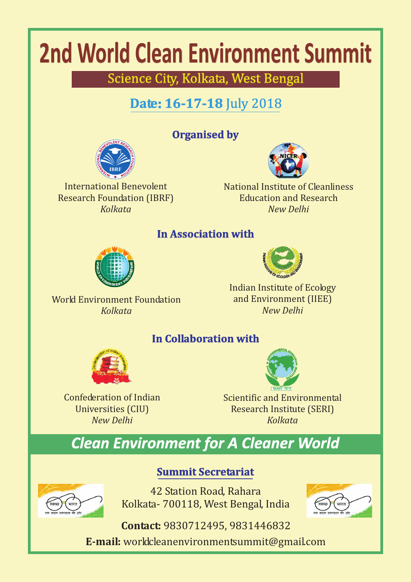# **2nd World Clean Environment Summit**

Science City, Kolkata, West Bengal

## **Date: 16-17-18** July 2018

## **Organised by**



International Benevolent Research Foundation (IBRF) *Kolkata*



National Institute of Cleanliness Education and Research *New Delhi*

### **In Association with**



World Environment Foundation *Kolkata*

Indian Institute of Ecology and Environment (IIEE) *New Delhi*

## **In Collaboration with**



Confederation of Indian Universities (CIU) *New Delhi*



Scientific and Environmental Research Institute (SERI) *Kolkata*

# *Clean Environment for A Cleaner World*



42 Station Road, Rahara Kolkata- 700118, West Bengal, India

**Summit Secretariat**



**Contact:** 9830712495, 9831446832

**E-mail:** worldcleanenvironmentsummit@gmail.com